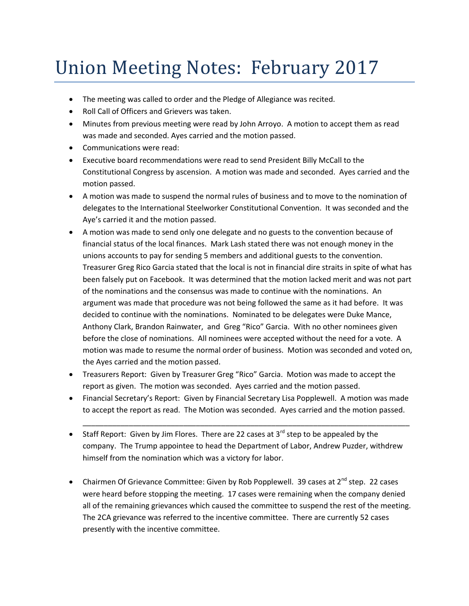## Union Meeting Notes: February 2017

- The meeting was called to order and the Pledge of Allegiance was recited.
- Roll Call of Officers and Grievers was taken.
- Minutes from previous meeting were read by John Arroyo. A motion to accept them as read was made and seconded. Ayes carried and the motion passed.
- Communications were read:
- Executive board recommendations were read to send President Billy McCall to the Constitutional Congress by ascension. A motion was made and seconded. Ayes carried and the motion passed.
- A motion was made to suspend the normal rules of business and to move to the nomination of delegates to the International Steelworker Constitutional Convention. It was seconded and the Aye's carried it and the motion passed.
- A motion was made to send only one delegate and no guests to the convention because of financial status of the local finances. Mark Lash stated there was not enough money in the unions accounts to pay for sending 5 members and additional guests to the convention. Treasurer Greg Rico Garcia stated that the local is not in financial dire straits in spite of what has been falsely put on Facebook. It was determined that the motion lacked merit and was not part of the nominations and the consensus was made to continue with the nominations. An argument was made that procedure was not being followed the same as it had before. It was decided to continue with the nominations. Nominated to be delegates were Duke Mance, Anthony Clark, Brandon Rainwater, and Greg "Rico" Garcia. With no other nominees given before the close of nominations. All nominees were accepted without the need for a vote. A motion was made to resume the normal order of business. Motion was seconded and voted on, the Ayes carried and the motion passed.
- Treasurers Report: Given by Treasurer Greg "Rico" Garcia. Motion was made to accept the report as given. The motion was seconded. Ayes carried and the motion passed.
- Financial Secretary's Report: Given by Financial Secretary Lisa Popplewell. A motion was made to accept the report as read. The Motion was seconded. Ayes carried and the motion passed.

\_\_\_\_\_\_\_\_\_\_\_\_\_\_\_\_\_\_\_\_\_\_\_\_\_\_\_\_\_\_\_\_\_\_\_\_\_\_\_\_\_\_\_\_\_\_\_\_\_\_\_\_\_\_\_\_\_\_\_\_\_\_\_\_\_\_\_\_\_\_\_\_\_\_\_\_\_\_

- Staff Report: Given by Jim Flores. There are 22 cases at  $3^{rd}$  step to be appealed by the company. The Trump appointee to head the Department of Labor, Andrew Puzder, withdrew himself from the nomination which was a victory for labor.
- Chairmen Of Grievance Committee: Given by Rob Popplewell. 39 cases at  $2^{nd}$  step. 22 cases were heard before stopping the meeting. 17 cases were remaining when the company denied all of the remaining grievances which caused the committee to suspend the rest of the meeting. The 2CA grievance was referred to the incentive committee. There are currently 52 cases presently with the incentive committee.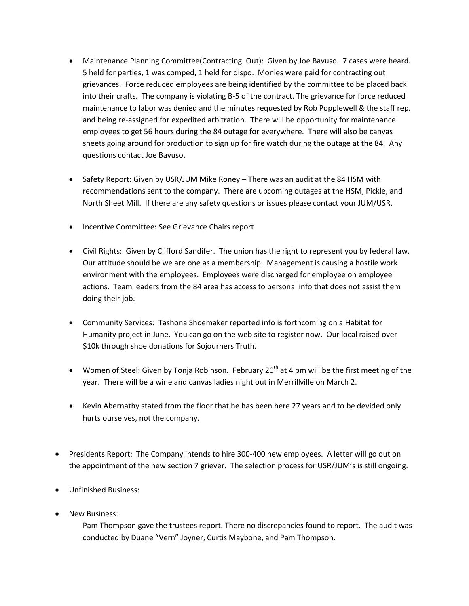- Maintenance Planning Committee(Contracting Out): Given by Joe Bavuso. 7 cases were heard. 5 held for parties, 1 was comped, 1 held for dispo. Monies were paid for contracting out grievances. Force reduced employees are being identified by the committee to be placed back into their crafts. The company is violating B-5 of the contract. The grievance for force reduced maintenance to labor was denied and the minutes requested by Rob Popplewell & the staff rep. and being re-assigned for expedited arbitration. There will be opportunity for maintenance employees to get 56 hours during the 84 outage for everywhere. There will also be canvas sheets going around for production to sign up for fire watch during the outage at the 84. Any questions contact Joe Bavuso.
- Safety Report: Given by USR/JUM Mike Roney There was an audit at the 84 HSM with recommendations sent to the company. There are upcoming outages at the HSM, Pickle, and North Sheet Mill. If there are any safety questions or issues please contact your JUM/USR.
- Incentive Committee: See Grievance Chairs report
- Civil Rights: Given by Clifford Sandifer. The union has the right to represent you by federal law. Our attitude should be we are one as a membership. Management is causing a hostile work environment with the employees. Employees were discharged for employee on employee actions. Team leaders from the 84 area has access to personal info that does not assist them doing their job.
- Community Services: Tashona Shoemaker reported info is forthcoming on a Habitat for Humanity project in June. You can go on the web site to register now. Our local raised over \$10k through shoe donations for Sojourners Truth.
- Women of Steel: Given by Tonja Robinson. February 20<sup>th</sup> at 4 pm will be the first meeting of the year. There will be a wine and canvas ladies night out in Merrillville on March 2.
- Kevin Abernathy stated from the floor that he has been here 27 years and to be devided only hurts ourselves, not the company.
- Presidents Report: The Company intends to hire 300-400 new employees. A letter will go out on the appointment of the new section 7 griever. The selection process for USR/JUM's is still ongoing.
- Unfinished Business:
- New Business:

Pam Thompson gave the trustees report. There no discrepancies found to report. The audit was conducted by Duane "Vern" Joyner, Curtis Maybone, and Pam Thompson.